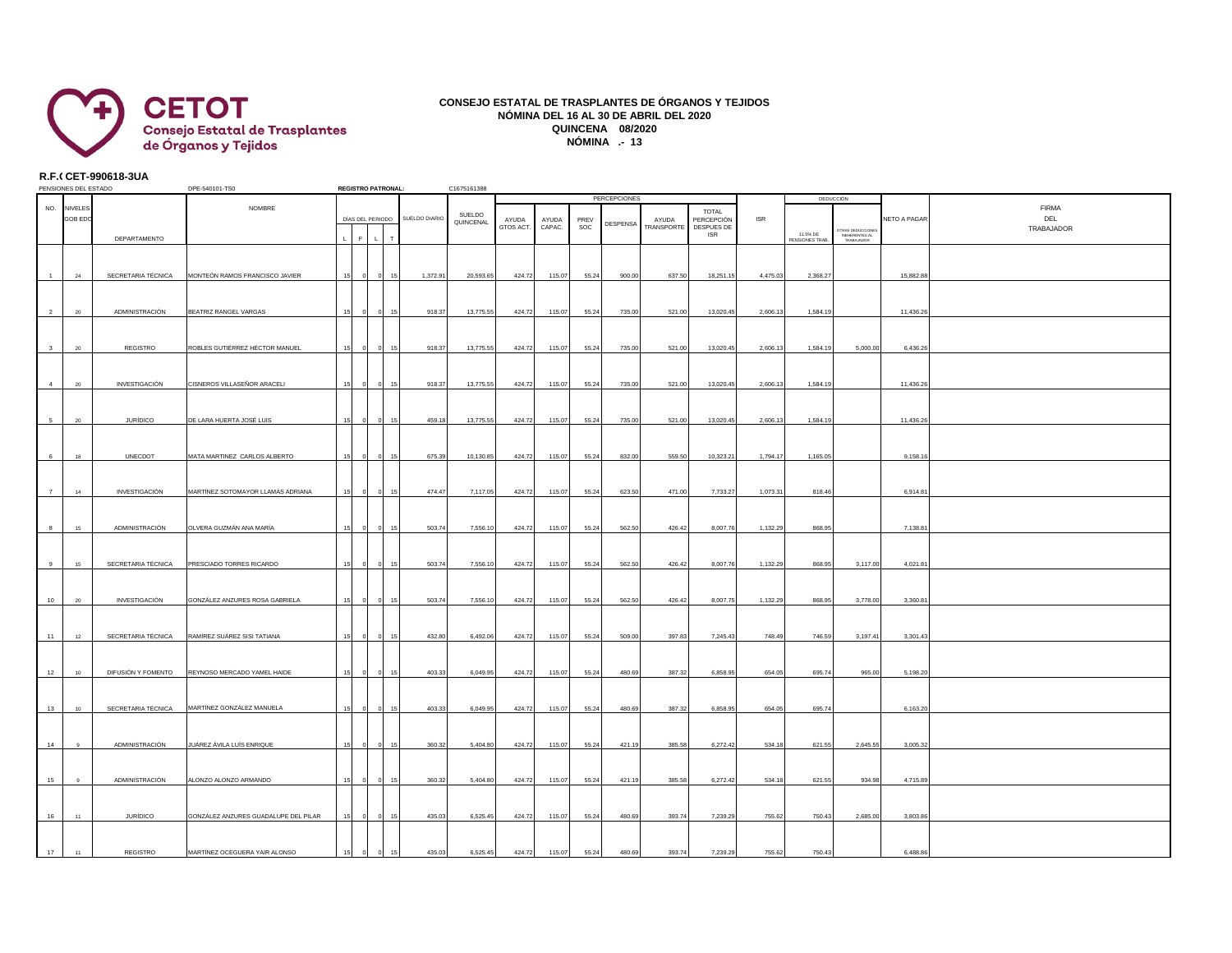

## **CONSEJO ESTATAL DE TRASPLANTES DE ÓRGANOS Y TEJIDOS NÓMINA DEL 16 AL 30 DE ABRIL DEL 2020 QUINCENA 08/2020 NÓMINA .- 13**

## **R.F.C.CET-990618-3UA**

| PENSIONES DEL ESTADO    |                                 |                    | DPE-540101-TS0                       |  | <b>REGISTRO PATRONAL:</b> |  |               | C1675161388         | <b>PERCEPCIONES</b> |                 |             |          |                     |                                                        |            | DEDUCCIÓN                  |                                                  |              |                                   |
|-------------------------|---------------------------------|--------------------|--------------------------------------|--|---------------------------|--|---------------|---------------------|---------------------|-----------------|-------------|----------|---------------------|--------------------------------------------------------|------------|----------------------------|--------------------------------------------------|--------------|-----------------------------------|
| NO.                     | <b>NIVELES</b><br><b>GOB ED</b> |                    | NOMBRE                               |  | DÍAS DEL PERIODO          |  | SUELDO DIARIO | SUELDO<br>QUINCENAL | AYUDA<br>GTOS ACT.  | AYUDA<br>CAPAC. | PREV<br>SOC | DESPENSA | AYUDA<br>TRANSPORTE | <b>TOTAL</b><br>PERCEPCIÓN<br>DESPUES DE<br><b>ISR</b> | <b>ISR</b> |                            | TRAS DEDUCCIONES<br>INEHERENTES AL<br>TRABAJADOR | NETO A PAGAR | <b>FIRMA</b><br>DEL<br>TRABAJADOR |
|                         |                                 | DEPARTAMENTO       |                                      |  |                           |  |               |                     |                     |                 |             |          |                     |                                                        |            | 11.5% DE<br>PENSIONES TRAB |                                                  |              |                                   |
| $\mathbf{1}$            | 24                              | SECRETARIA TÉCNICA | MONTEÓN RAMOS FRANCISCO JAVIER       |  |                           |  | 1,372.91      | 20,593.65           | 424.72              | 115.07          | 55.24       | 900.00   | 637.50              | 18,251.15                                              | 4,475.03   | 2,368.27                   |                                                  | 15,882.88    |                                   |
| $\overline{2}$          | 20                              | ADMINISTRACIÓN     | BEATRIZ RANGEL VARGAS                |  |                           |  | 918.37        | 13,775.55           | 424.72              | 115.07          | 55.24       | 735.00   | 521.00              | 13,020.45                                              | 2,606.13   | 1,584.19                   |                                                  | 11,436.26    |                                   |
|                         |                                 |                    |                                      |  |                           |  |               |                     |                     |                 |             |          |                     |                                                        |            |                            |                                                  |              |                                   |
| $\overline{\mathbf{3}}$ | $20\degree$                     | REGISTRO           | ROBLES GUTIÉRREZ HÉCTOR MANUEL       |  |                           |  | 918.37        | 13,775.55           | 424.72              | 115.07          | 55.24       | 735.00   | 521.00              | 13,020.45                                              | 2,606.13   | 1,584.19                   | 5,000.00                                         | 6,436.26     |                                   |
| $\overline{4}$          | 20                              | INVESTIGACIÓN      | CISNEROS VILLASEÑOR ARACELI          |  |                           |  | 918.37<br>15  | 13,775.55           | 424.72              | 115.07          | 55.24       | 735.00   | 521.00              | 13,020.45                                              | 2,606.13   | 1,584.19                   |                                                  | 11,436.26    |                                   |
| $\overline{5}$          | ${\bf 20}$                      | <b>JURÍDICO</b>    | DE LARA HUERTA JOSÉ LUIS             |  |                           |  | 459.18<br>15  | 13,775.55           | 424.72              | 115.07          | 55.24       | 735.00   | 521.00              | 13,020.45                                              | 2,606.13   | 1,584.19                   |                                                  | 11,436.26    |                                   |
| 6                       | 18                              | UNECDOT            | MATA MARTINEZ CARLOS ALBERTO         |  |                           |  | 675.39<br>15  | 10,130.85           | 424.72              | 115.07          | 55.24       | 832.00   | 559.50              | 10,323.21                                              | 1,794.17   | 1,165.05                   |                                                  | 9,158.16     |                                   |
|                         |                                 |                    |                                      |  |                           |  |               |                     |                     |                 |             |          |                     |                                                        |            |                            |                                                  |              |                                   |
| $\overline{7}$          | 14                              | INVESTIGACIÓN      | MARTÍNEZ SOTOMAYOR LLAMAS ADRIANA    |  |                           |  | 474.47        | 7,117.05            | 424.72              | 115.07          | 55.24       | 623.50   | 471.00              | 7,733.27                                               | 1,073.31   | 818.46                     |                                                  | 6,914.81     |                                   |
| 8                       | 15                              | ADMINISTRACIÓN     | OLVERA GUZMÁN ANA MARÍA              |  |                           |  | 503.74        | 7,556.1             | 424.72              | 115.07          | 55.24       | 562.50   | 426.42              | 8,007.76                                               | 1,132.29   | 868.95                     |                                                  | 7,138.81     |                                   |
| 9                       | 15                              | SECRETARIA TÉCNICA | PRESCIADO TORRES RICARDO             |  |                           |  | 503.74        | 7,556.10            | 424.72              | 115.07          | 55.24       | 562.50   | 426.42              | 8,007.76                                               | 1,132.29   | 868.95                     | 3,117.00                                         | 4,021.81     |                                   |
| 10                      | 20                              | INVESTIGACIÓN      | GONZÁLEZ ANZURES ROSA GABRIELA       |  |                           |  | 503.74        | 7,556.10            | 424.72              | 115.07          | 55.24       | 562.50   | 426.42              | 8,007.75                                               | 1,132.29   | 868.95                     | 3,778.00                                         | 3,360.81     |                                   |
| 11                      | 12                              | SECRETARIA TÉCNICA | RAMÍREZ SUÁREZ SISI TATIANA          |  |                           |  | 432.80        | 6,492.06            | 424.72              | 115.07          | 55.24       | 509.00   | 397.83              | 7,245.43                                               | 748.49     | 746.59                     | 3,197.41                                         | 3,301.43     |                                   |
|                         |                                 |                    |                                      |  |                           |  |               |                     |                     |                 |             |          |                     |                                                        |            |                            |                                                  |              |                                   |
| 12                      | 10                              | DIFUSIÓN Y FOMENTO | REYNOSO MERCADO YAMEL HAIDE          |  |                           |  | 403.33        | 6,049.95            | 424.72              | 115.07          | 55.24       | 480.69   | 387.32              | 6,858.95                                               | 654.05     | 695.74                     | 965.00                                           | 5,198.20     |                                   |
| 13                      | 10 <sub>10</sub>                | SECRETARIA TÉCNICA | MARTÍNEZ GONZÁLEZ MANUELA            |  |                           |  | 403.33        | 6,049.95            | 424.72              | 115.07          | 55.24       | 480.69   | 387.32              | 6,858.95                                               | 654.05     | 695.74                     |                                                  | 6,163.20     |                                   |
| 14                      |                                 | ADMINISTRACIÓN     | JUÁREZ ÁVILA LUÍS ENRIQUE            |  |                           |  | 360.32        | 5.404.80            | 424.72              | 115.07          | 55.24       | 421.19   | 385.58              | 6,272.42                                               | 534.18     | 621.55                     | 2,645.55                                         | 3,005.32     |                                   |
| 15                      |                                 | ADMINISTRACIÓN     | ALONZO ALONZO ARMANDO                |  |                           |  | 360.32<br>15  | 5,404.80            | 424.72              | 115.07          | 55.24       | 421.19   | 385.58              | 6,272.42                                               | 534.18     | 621.55                     | 934.98                                           | 4,715.89     |                                   |
|                         |                                 |                    |                                      |  |                           |  |               |                     |                     |                 |             |          |                     |                                                        |            |                            |                                                  |              |                                   |
| 16                      | 11                              | JURÍDICO           | GONZÁLEZ ANZURES GUADALUPE DEL PILAR |  |                           |  | 435.03<br>15  | 6,525.45            | 424.72              | 115.07          | 55.24       | 480.69   | 393.74              | 7,239.29                                               | 755.62     | 750.43                     | 2,685.00                                         | 3,803.86     |                                   |
| 17                      | 11                              | <b>REGISTRO</b>    | MARTÍNEZ OCEGUERA YAIR ALONSO        |  |                           |  | 435.03<br>15  | 6,525.45            | 424.72              | 115.07          | 55.24       | 480.69   | 393.74              | 7,239.29                                               | 755.62     | 750.43                     |                                                  | 6,488.86     |                                   |